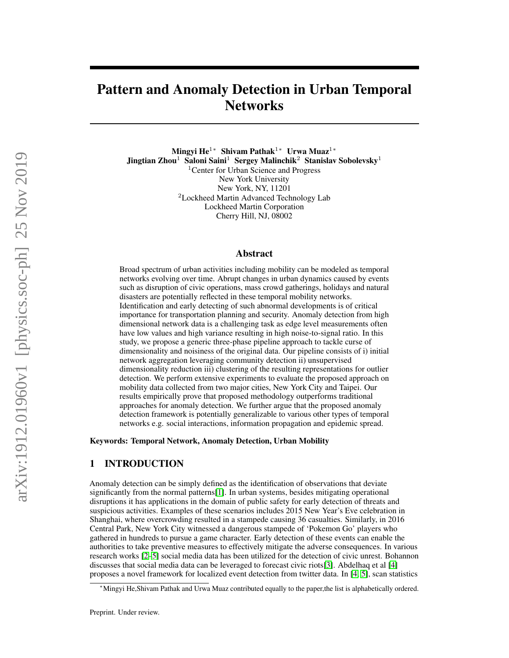# Pattern and Anomaly Detection in Urban Temporal **Networks**

Mingyi He<sup>1∗</sup> Shivam Pathak<sup>1</sup>\* Urwa Muaz<sup>1</sup>\* Jingtian Zhou<sup>1</sup> Saloni Saini<sup>1</sup> Sergey Malinchik<sup>2</sup> Stanislav Sobolevsky<sup>1</sup> <sup>1</sup>Center for Urban Science and Progress New York University New York, NY, 11201 <sup>2</sup>Lockheed Martin Advanced Technology Lab Lockheed Martin Corporation Cherry Hill, NJ, 08002

## Abstract

Broad spectrum of urban activities including mobility can be modeled as temporal networks evolving over time. Abrupt changes in urban dynamics caused by events such as disruption of civic operations, mass crowd gatherings, holidays and natural disasters are potentially reflected in these temporal mobility networks. Identification and early detecting of such abnormal developments is of critical importance for transportation planning and security. Anomaly detection from high dimensional network data is a challenging task as edge level measurements often have low values and high variance resulting in high noise-to-signal ratio. In this study, we propose a generic three-phase pipeline approach to tackle curse of dimensionality and noisiness of the original data. Our pipeline consists of i) initial network aggregation leveraging community detection ii) unsupervised dimensionality reduction iii) clustering of the resulting representations for outlier detection. We perform extensive experiments to evaluate the proposed approach on mobility data collected from two major cities, New York City and Taipei. Our results empirically prove that proposed methodology outperforms traditional approaches for anomaly detection. We further argue that the proposed anomaly detection framework is potentially generalizable to various other types of temporal networks e.g. social interactions, information propagation and epidemic spread.

Keywords: Temporal Network, Anomaly Detection, Urban Mobility

# 1 INTRODUCTION

Anomaly detection can be simply defined as the identification of observations that deviate significantly from the normal patterns[\[1\]](#page-9-0). In urban systems, besides mitigating operational disruptions it has applications in the domain of public safety for early detection of threats and suspicious activities. Examples of these scenarios includes 2015 New Year's Eve celebration in Shanghai, where overcrowding resulted in a stampede causing 36 casualties. Similarly, in 2016 Central Park, New York City witnessed a dangerous stampede of 'Pokemon Go' players who gathered in hundreds to pursue a game character. Early detection of these events can enable the authorities to take preventive measures to effectively mitigate the adverse consequences. In various research works [\[2](#page-9-1)[–5\]](#page-9-2) social media data has been utilized for the detection of civic unrest. Bohannon discusses that social media data can be leveraged to forecast civic riots[\[3\]](#page-9-3). Abdelhaq et al [\[4\]](#page-9-4) proposes a novel framework for localized event detection from twitter data. In [\[4,](#page-9-4) [5\]](#page-9-2), scan statistics

<sup>∗</sup>Mingyi He,Shivam Pathak and Urwa Muaz contributed equally to the paper,the list is alphabetically ordered.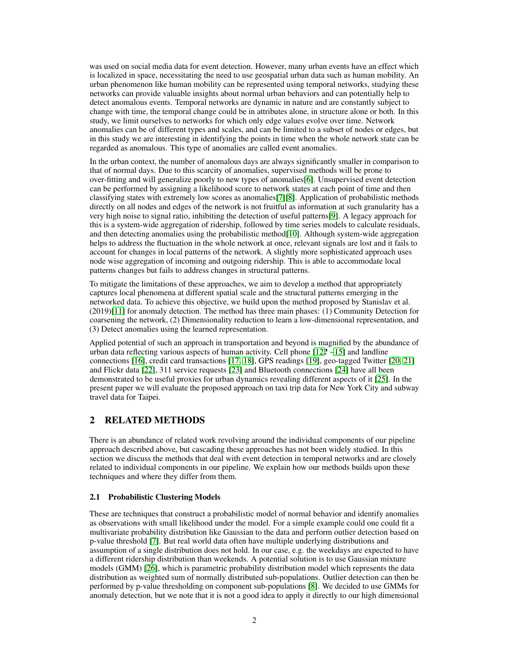was used on social media data for event detection. However, many urban events have an effect which is localized in space, necessitating the need to use geospatial urban data such as human mobility. An urban phenomenon like human mobility can be represented using temporal networks, studying these networks can provide valuable insights about normal urban behaviors and can potentially help to detect anomalous events. Temporal networks are dynamic in nature and are constantly subject to change with time, the temporal change could be in attributes alone, in structure alone or both. In this study, we limit ourselves to networks for which only edge values evolve over time. Network anomalies can be of different types and scales, and can be limited to a subset of nodes or edges, but in this study we are interesting in identifying the points in time when the whole network state can be regarded as anomalous. This type of anomalies are called event anomalies.

In the urban context, the number of anomalous days are always significantly smaller in comparison to that of normal days. Due to this scarcity of anomalies, supervised methods will be prone to over-fitting and will generalize poorly to new types of anomalies[\[6\]](#page-9-5). Unsupervised event detection can be performed by assigning a likelihood score to network states at each point of time and then classifying states with extremely low scores as anomalies[\[7\]](#page-9-6)[\[8\]](#page-9-7). Application of probabilistic methods directly on all nodes and edges of the network is not fruitful as information at such granularity has a very high noise to signal ratio, inhibiting the detection of useful patterns[\[9\]](#page-9-8). A legacy approach for this is a system-wide aggregation of ridership, followed by time series models to calculate residuals, and then detecting anomalies using the probabilistic method[\[10\]](#page-9-9). Although system-wide aggregation helps to address the fluctuation in the whole network at once, relevant signals are lost and it fails to account for changes in local patterns of the network. A slightly more sophisticated approach uses node wise aggregation of incoming and outgoing ridership. This is able to accommodate local patterns changes but fails to address changes in structural patterns.

To mitigate the limitations of these approaches, we aim to develop a method that appropriately captures local phenomena at different spatial scale and the structural patterns emerging in the networked data. To achieve this objective, we build upon the method proposed by Stanislav et al. (2019)[\[11\]](#page-9-10) for anomaly detection. The method has three main phases: (1) Community Detection for coarsening the network, (2) Dimensionality reduction to learn a low-dimensional representation, and (3) Detect anomalies using the learned representation.

Applied potential of such an approach in transportation and beyond is magnified by the abundance of urban data reflecting various aspects of human activity. Cell phone [\[12](#page-9-11)? [–15\]](#page-9-12) and landline connections [\[16\]](#page-9-13), credit card transactions [\[17,](#page-9-14) [18\]](#page-10-0), GPS readings [\[19\]](#page-10-1), geo-tagged Twitter [\[20,](#page-10-2) [21\]](#page-10-3) and Flickr data [\[22\]](#page-10-4), 311 service requests [\[23\]](#page-10-5) and Bluetooth connections [\[24\]](#page-10-6) have all been demonstrated to be useful proxies for urban dynamics revealing different aspects of it [\[25\]](#page-10-7). In the present paper we will evaluate the proposed approach on taxi trip data for New York City and subway travel data for Taipei.

# 2 RELATED METHODS

There is an abundance of related work revolving around the individual components of our pipeline approach described above, but cascading these approaches has not been widely studied. In this section we discuss the methods that deal with event detection in temporal networks and are closely related to individual components in our pipeline. We explain how our methods builds upon these techniques and where they differ from them.

## 2.1 Probabilistic Clustering Models

These are techniques that construct a probabilistic model of normal behavior and identify anomalies as observations with small likelihood under the model. For a simple example could one could fit a multivariate probability distribution like Gaussian to the data and perform outlier detection based on p-value threshold [\[7\]](#page-9-6). But real world data often have multiple underlying distributions and assumption of a single distribution does not hold. In our case, e.g. the weekdays are expected to have a different ridership distribution than weekends. A potential solution is to use Gaussian mixture models (GMM) [\[26\]](#page-10-8), which is parametric probability distribution model which represents the data distribution as weighted sum of normally distributed sub-populations. Outlier detection can then be performed by p-value thresholding on component sub-populations [\[8\]](#page-9-7). We decided to use GMMs for anomaly detection, but we note that it is not a good idea to apply it directly to our high dimensional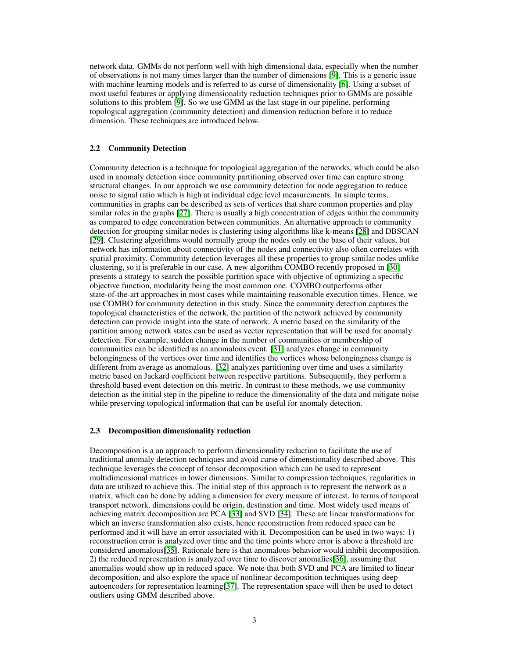network data. GMMs do not perform well with high dimensional data, especially when the number of observations is not many times larger than the number of dimensions [\[9\]](#page-9-8). This is a generic issue with machine learning models and is referred to as curse of dimensionality [\[6\]](#page-9-5). Using a subset of most useful features or applying dimensionality reduction techniques prior to GMMs are possible solutions to this problem [\[9\]](#page-9-8). So we use GMM as the last stage in our pipeline, performing topological aggregation (community detection) and dimension reduction before it to reduce dimension. These techniques are introduced below.

#### 2.2 Community Detection

Community detection is a technique for topological aggregation of the networks, which could be also used in anomaly detection since community partitioning observed over time can capture strong structural changes. In our approach we use community detection for node aggregation to reduce noise to signal ratio which is high at individual edge level measurements. In simple terms, communities in graphs can be described as sets of vertices that share common properties and play similar roles in the graphs [\[27\]](#page-10-9). There is usually a high concentration of edges within the community as compared to edge concentration between communities. An alternative approach to community detection for grouping similar nodes is clustering using algorithms like k-means [\[28\]](#page-10-10) and DBSCAN [\[29\]](#page-10-11). Clustering algorithms would normally group the nodes only on the base of their values, but network has information about connectivity of the nodes and connectivity also often correlates with spatial proximity. Community detection leverages all these properties to group similar nodes unlike clustering, so it is preferable in our case. A new algorithm COMBO recently proposed in [\[30\]](#page-10-12) presents a strategy to search the possible partition space with objective of optimizing a specific objective function, modularity being the most common one. COMBO outperforms other state-of-the-art approaches in most cases while maintaining reasonable execution times. Hence, we use COMBO for community detection in this study. Since the community detection captures the topological characteristics of the network, the partition of the network achieved by community detection can provide insight into the state of network. A metric based on the similarity of the partition among network states can be used as vector representation that will be used for anomaly detection. For example, sudden change in the number of communities or membership of communities can be identified as an anomalous event. [\[31\]](#page-10-13) analyzes change in community belongingness of the vertices over time and identifies the vertices whose belongingness change is different from average as anomalous. [\[32\]](#page-10-14) analyzes partitioning over time and uses a similarity metric based on Jackard coefficient between respective partitions. Subsequently, they perform a threshold based event detection on this metric. In contrast to these methods, we use community detection as the initial step in the pipeline to reduce the dimensionality of the data and mitigate noise while preserving topological information that can be useful for anomaly detection.

#### 2.3 Decomposition dimensionality reduction

Decomposition is a an approach to perform dimensionality reduction to facilitate the use of traditional anomaly detection techniques and avoid curse of dimenstionality described above. This technique leverages the concept of tensor decomposition which can be used to represent multidimensional matrices in lower dimensions. Similar to compression techniques, regularities in data are utilized to achieve this. The initial step of this approach is to represent the network as a matrix, which can be done by adding a dimension for every measure of interest. In terms of temporal transport network, dimensions could be origin, destination and time. Most widely used means of achieving matrix decomposition are PCA [\[33\]](#page-10-15) and SVD [\[34\]](#page-10-16). These are linear transformations for which an inverse transformation also exists, hence reconstruction from reduced space can be performed and it will have an error associated with it. Decomposition can be used in two ways: 1) reconstruction error is analyzed over time and the time points where error is above a threshold are considered anomalous[\[35\]](#page-11-0). Rationale here is that anomalous behavior would inhibit decomposition. 2) the reduced representation is analyzed over time to discover anomalies[\[36\]](#page-11-1), assuming that anomalies would show up in reduced space. We note that both SVD and PCA are limited to linear decomposition, and also explore the space of nonlinear decomposition techniques using deep autoencoders for representation learning[\[37\]](#page-11-2). The representation space will then be used to detect outliers using GMM described above.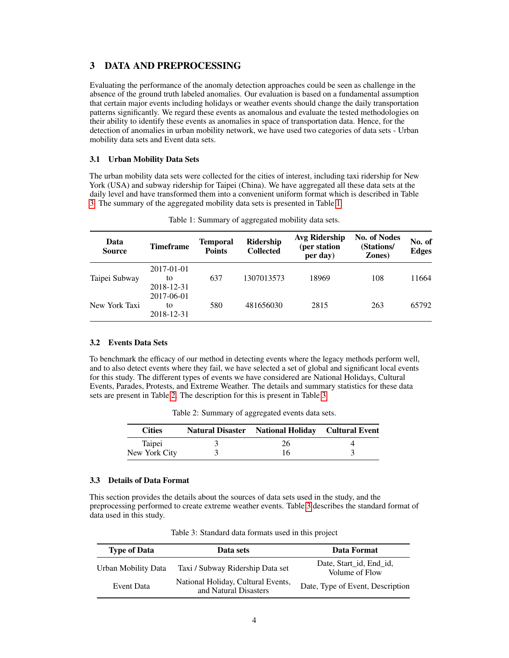# 3 DATA AND PREPROCESSING

Evaluating the performance of the anomaly detection approaches could be seen as challenge in the absence of the ground truth labeled anomalies. Our evaluation is based on a fundamental assumption that certain major events including holidays or weather events should change the daily transportation patterns significantly. We regard these events as anomalous and evaluate the tested methodologies on their ability to identify these events as anomalies in space of transportation data. Hence, for the detection of anomalies in urban mobility network, we have used two categories of data sets - Urban mobility data sets and Event data sets.

## 3.1 Urban Mobility Data Sets

The urban mobility data sets were collected for the cities of interest, including taxi ridership for New York (USA) and subway ridership for Taipei (China). We have aggregated all these data sets at the daily level and have transformed them into a convenient uniform format which is described in Table [3.](#page-3-0) The summary of the aggregated mobility data sets is presented in Table [1.](#page-3-1)

<span id="page-3-1"></span>

| Data<br><b>Source</b> | <b>Timeframe</b>               | <b>Temporal</b><br><b>Points</b> | Ridership<br><b>Collected</b> | Avg Ridership<br>(per station<br>per day) | <b>No. of Nodes</b><br>(Stations/<br>Zones) | No. of<br><b>Edges</b> |
|-----------------------|--------------------------------|----------------------------------|-------------------------------|-------------------------------------------|---------------------------------------------|------------------------|
| Taipei Subway         | 2017-01-01<br>to<br>2018-12-31 | 637                              | 1307013573                    | 18969                                     | 108                                         | 11664                  |
| New York Taxi         | 2017-06-01<br>to<br>2018-12-31 | 580                              | 481656030                     | 2815                                      | 263                                         | 65792                  |

Table 1: Summary of aggregated mobility data sets.

## 3.2 Events Data Sets

To benchmark the efficacy of our method in detecting events where the legacy methods perform well, and to also detect events where they fail, we have selected a set of global and significant local events for this study. The different types of events we have considered are National Holidays, Cultural Events, Parades, Protests, and Extreme Weather. The details and summary statistics for these data sets are present in Table [2.](#page-3-2) The description for this is present in Table [3.](#page-3-0)

|  |  |  | Table 2: Summary of aggregated events data sets. |
|--|--|--|--------------------------------------------------|
|--|--|--|--------------------------------------------------|

<span id="page-3-2"></span>

| <b>Cities</b> | Natural Disaster National Holiday Cultural Event |  |
|---------------|--------------------------------------------------|--|
| Taipei        | 26                                               |  |
| New York City | 16                                               |  |

#### 3.3 Details of Data Format

This section provides the details about the sources of data sets used in the study, and the preprocessing performed to create extreme weather events. Table [3](#page-3-0) describes the standard format of data used in this study.

<span id="page-3-0"></span>

| <b>Type of Data</b> | Data sets                                                   | Data Format                               |
|---------------------|-------------------------------------------------------------|-------------------------------------------|
| Urban Mobility Data | Taxi / Subway Ridership Data set                            | Date, Start_id, End_id,<br>Volume of Flow |
| Event Data          | National Holiday, Cultural Events,<br>and Natural Disasters | Date, Type of Event, Description          |

Table 3: Standard data formats used in this project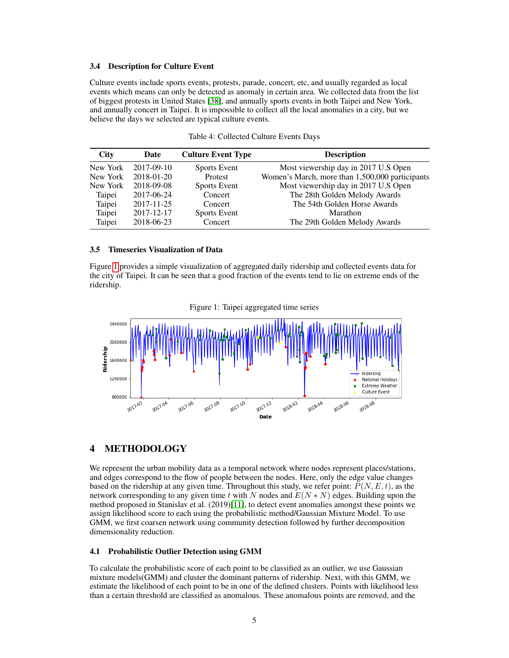## 3.4 Description for Culture Event

Culture events include sports events, protests, parade, concert, etc, and usually regarded as local events which means can only be detected as anomaly in certain area. We collected data from the list of biggest protests in United States [\[38\]](#page-11-3), and annually sports events in both Taipei and New York, and annually concert in Taipei. It is impossible to collect all the local anomalies in a city, but we believe the days we selected are typical culture events.

| <b>City</b> | Date             | <b>Culture Event Type</b> | <b>Description</b>                              |
|-------------|------------------|---------------------------|-------------------------------------------------|
| New York    | $2017 - 09 - 10$ | <b>Sports Event</b>       | Most viewership day in 2017 U.S Open            |
| New York    | $2018 - 01 - 20$ | Protest                   | Women's March, more than 1,500,000 participants |
| New York    | 2018-09-08       | <b>Sports Event</b>       | Most viewership day in 2017 U.S Open            |
| Taipei      | 2017-06-24       | Concert                   | The 28th Golden Melody Awards                   |
| Taipei      | $2017 - 11 - 25$ | Concert                   | The 54th Golden Horse Awards                    |
| Taipei      | 2017-12-17       | <b>Sports Event</b>       | Marathon                                        |
| Taipei      | 2018-06-23       | Concert                   | The 29th Golden Melody Awards                   |

|  | Table 4: Collected Culture Events Days |  |  |  |
|--|----------------------------------------|--|--|--|
|--|----------------------------------------|--|--|--|

#### 3.5 Timeseries Visualization of Data

Figure [1](#page-4-0) provides a simple visualization of aggregated daily ridership and collected events data for the city of Taipei. It can be seen that a good fraction of the events tend to lie on extreme ends of the ridership.

Figure 1: Taipei aggregated time series

<span id="page-4-0"></span>

# 4 METHODOLOGY

We represent the urban mobility data as a temporal network where nodes represent places/stations, and edges correspond to the flow of people between the nodes. Here, only the edge value changes based on the ridership at any given time. Throughout this study, we refer point:  $P(N, E, t)$ , as the network corresponding to any given time t with N nodes and  $E(N*N)$  edges. Building upon the method proposed in Stanislav et al. (2019)[\[11\]](#page-9-10), to detect event anomalies amongst these points we assign likelihood score to each using the probabilistic method/Gaussian Mixture Model. To use GMM, we first coarsen network using community detection followed by further decomposition dimensionality reduction.

#### 4.1 Probabilistic Outlier Detection using GMM

To calculate the probabilistic score of each point to be classified as an outlier, we use Gaussian mixture models(GMM) and cluster the dominant patterns of ridership. Next, with this GMM, we estimate the likelihood of each point to be in one of the defined clusters. Points with likelihood less than a certain threshold are classified as anomalous. These anomalous points are removed, and the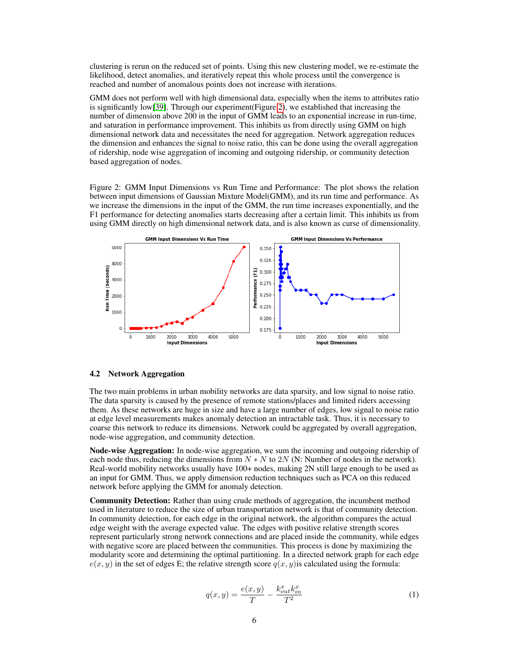clustering is rerun on the reduced set of points. Using this new clustering model, we re-estimate the likelihood, detect anomalies, and iteratively repeat this whole process until the convergence is reached and number of anomalous points does not increase with iterations.

GMM does not perform well with high dimensional data, especially when the items to attributes ratio is significantly low[\[39\]](#page-11-4). Through our experiment(Figure [2\)](#page-5-0), we established that increasing the number of dimension above 200 in the input of GMM leads to an exponential increase in run-time, and saturation in performance improvement. This inhibits us from directly using GMM on high dimensional network data and necessitates the need for aggregation. Network aggregation reduces the dimension and enhances the signal to noise ratio, this can be done using the overall aggregation of ridership, node wise aggregation of incoming and outgoing ridership, or community detection based aggregation of nodes.

<span id="page-5-0"></span>Figure 2: GMM Input Dimensions vs Run Time and Performance: The plot shows the relation between input dimensions of Gaussian Mixture Model(GMM), and its run time and performance. As we increase the dimensions in the input of the GMM, the run time increases exponentially, and the F1 performance for detecting anomalies starts decreasing after a certain limit. This inhibits us from using GMM directly on high dimensional network data, and is also known as curse of dimensionality.



#### 4.2 Network Aggregation

The two main problems in urban mobility networks are data sparsity, and low signal to noise ratio. The data sparsity is caused by the presence of remote stations/places and limited riders accessing them. As these networks are huge in size and have a large number of edges, low signal to noise ratio at edge level measurements makes anomaly detection an intractable task. Thus, it is necessary to coarse this network to reduce its dimensions. Network could be aggregated by overall aggregation, node-wise aggregation, and community detection.

Node-wise Aggregation: In node-wise aggregation, we sum the incoming and outgoing ridership of each node thus, reducing the dimensions from  $N \times N$  to  $2N$  (N: Number of nodes in the network). Real-world mobility networks usually have 100+ nodes, making 2N still large enough to be used as an input for GMM. Thus, we apply dimension reduction techniques such as PCA on this reduced network before applying the GMM for anomaly detection.

Community Detection: Rather than using crude methods of aggregation, the incumbent method used in literature to reduce the size of urban transportation network is that of community detection. In community detection, for each edge in the original network, the algorithm compares the actual edge weight with the average expected value. The edges with positive relative strength scores represent particularly strong network connections and are placed inside the community, while edges with negative score are placed between the communities. This process is done by maximizing the modularity score and determining the optimal partitioning. In a directed network graph for each edge  $e(x, y)$  in the set of edges E; the relative strength score  $q(x, y)$  is calculated using the formula:

$$
q(x,y) = \frac{e(x,y)}{T} - \frac{k_{out}^x k_{in}^x}{T^2}
$$
 (1)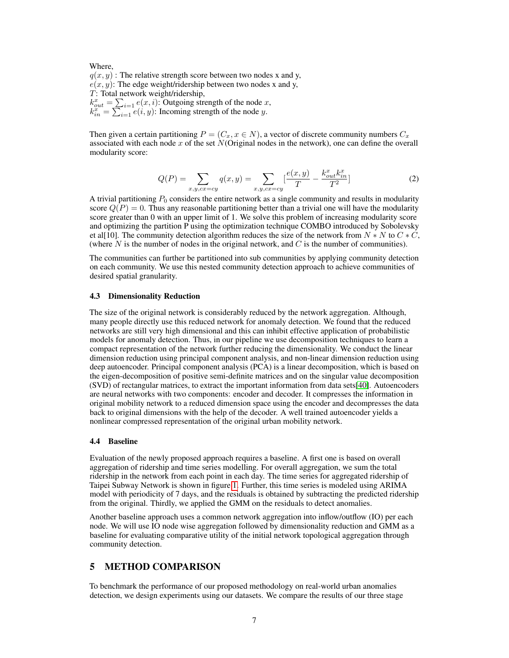Where,  $q(x, y)$ : The relative strength score between two nodes x and y,  $e(x, y)$ : The edge weight/ridership between two nodes x and y, T: Total network weight/ridership,  $k_{out}^x = \sum_{i=1}^x e(x, i)$ : Outgoing strength of the node x,  $k_{in}^{x} = \sum_{i=1}^{n} e(i, y)$ : Incoming strength of the node y.

Then given a certain partitioning  $P = (C_x, x \in N)$ , a vector of discrete community numbers  $C_x$ associated with each node  $x$  of the set  $N$ (Original nodes in the network), one can define the overall modularity score:

$$
Q(P) = \sum_{x,y,cx=cy} q(x,y) = \sum_{x,y,cx=cy} \left[\frac{e(x,y)}{T} - \frac{k_{out}^x k_{in}^x}{T^2}\right]
$$
(2)

A trivial partitioning  $P_0$  considers the entire network as a single community and results in modularity score  $Q(P) = 0$ . Thus any reasonable partitioning better than a trivial one will have the modularity score greater than 0 with an upper limit of 1. We solve this problem of increasing modularity score and optimizing the partition P using the optimization technique COMBO introduced by Sobolevsky et al[10]. The community detection algorithm reduces the size of the network from  $N * N$  to  $C * C$ , (where  $N$  is the number of nodes in the original network, and  $C$  is the number of communities).

The communities can further be partitioned into sub communities by applying community detection on each community. We use this nested community detection approach to achieve communities of desired spatial granularity.

#### 4.3 Dimensionality Reduction

The size of the original network is considerably reduced by the network aggregation. Although, many people directly use this reduced network for anomaly detection. We found that the reduced networks are still very high dimensional and this can inhibit effective application of probabilistic models for anomaly detection. Thus, in our pipeline we use decomposition techniques to learn a compact representation of the network further reducing the dimensionality. We conduct the linear dimension reduction using principal component analysis, and non-linear dimension reduction using deep autoencoder. Principal component analysis (PCA) is a linear decomposition, which is based on the eigen-decomposition of positive semi-definite matrices and on the singular value decomposition (SVD) of rectangular matrices, to extract the important information from data sets[\[40\]](#page-11-5). Autoencoders are neural networks with two components: encoder and decoder. It compresses the information in original mobility network to a reduced dimension space using the encoder and decompresses the data back to original dimensions with the help of the decoder. A well trained autoencoder yields a nonlinear compressed representation of the original urban mobility network.

#### 4.4 Baseline

Evaluation of the newly proposed approach requires a baseline. A first one is based on overall aggregation of ridership and time series modelling. For overall aggregation, we sum the total ridership in the network from each point in each day. The time series for aggregated ridership of Taipei Subway Network is shown in figure [1.](#page-4-0) Further, this time series is modeled using ARIMA model with periodicity of 7 days, and the residuals is obtained by subtracting the predicted ridership from the original. Thirdly, we applied the GMM on the residuals to detect anomalies.

Another baseline approach uses a common network aggregation into inflow/outflow (IO) per each node. We will use IO node wise aggregation followed by dimensionality reduction and GMM as a baseline for evaluating comparative utility of the initial network topological aggregation through community detection.

## 5 METHOD COMPARISON

To benchmark the performance of our proposed methodology on real-world urban anomalies detection, we design experiments using our datasets. We compare the results of our three stage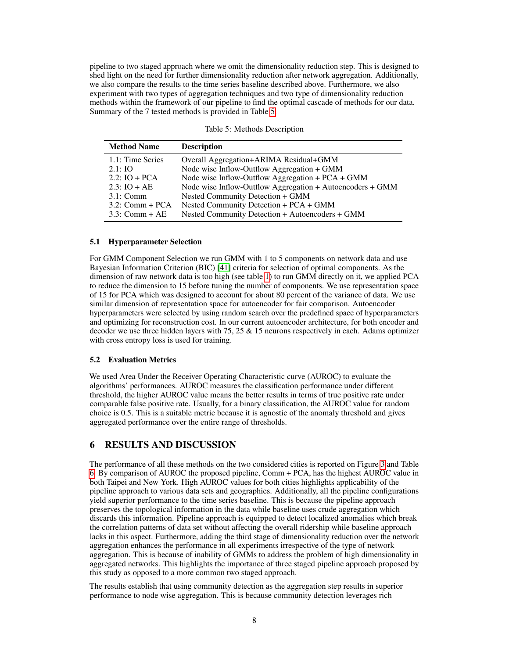pipeline to two staged approach where we omit the dimensionality reduction step. This is designed to shed light on the need for further dimensionality reduction after network aggregation. Additionally, we also compare the results to the time series baseline described above. Furthermore, we also experiment with two types of aggregation techniques and two type of dimensionality reduction methods within the framework of our pipeline to find the optimal cascade of methods for our data. Summary of the 7 tested methods is provided in Table [5.](#page-7-0)

<span id="page-7-0"></span>

| <b>Description</b>                                        |
|-----------------------------------------------------------|
| Overall Aggregation+ARIMA Residual+GMM                    |
| Node wise Inflow-Outflow Aggregation + GMM                |
| Node wise Inflow-Outflow Aggregation + PCA + GMM          |
| Node wise Inflow-Outflow Aggregation + Autoencoders + GMM |
| Nested Community Detection + GMM                          |
| Nested Community Detection + PCA + GMM                    |
| Nested Community Detection + Autoencoders + GMM           |
|                                                           |

Table 5: Methods Description

## 5.1 Hyperparameter Selection

For GMM Component Selection we run GMM with 1 to 5 components on network data and use Bayesian Information Criterion (BIC) [\[41\]](#page-11-6) criteria for selection of optimal components. As the dimension of raw network data is too high (see table [1\)](#page-3-1) to run GMM directly on it, we applied PCA to reduce the dimension to 15 before tuning the number of components. We use representation space of 15 for PCA which was designed to account for about 80 percent of the variance of data. We use similar dimension of representation space for autoencoder for fair comparison. Autoencoder hyperparameters were selected by using random search over the predefined space of hyperparameters and optimizing for reconstruction cost. In our current autoencoder architecture, for both encoder and decoder we use three hidden layers with 75, 25  $\&$  15 neurons respectively in each. Adams optimizer with cross entropy loss is used for training.

## 5.2 Evaluation Metrics

We used Area Under the Receiver Operating Characteristic curve (AUROC) to evaluate the algorithms' performances. AUROC measures the classification performance under different threshold, the higher AUROC value means the better results in terms of true positive rate under comparable false positive rate. Usually, for a binary classification, the AUROC value for random choice is 0.5. This is a suitable metric because it is agnostic of the anomaly threshold and gives aggregated performance over the entire range of thresholds.

# 6 RESULTS AND DISCUSSION

The performance of all these methods on the two considered cities is reported on Figure [3](#page-8-0) and Table [6.](#page-8-1) By comparison of AUROC the proposed pipeline, Comm + PCA, has the highest AUROC value in both Taipei and New York. High AUROC values for both cities highlights applicability of the pipeline approach to various data sets and geographies. Additionally, all the pipeline configurations yield superior performance to the time series baseline. This is because the pipeline approach preserves the topological information in the data while baseline uses crude aggregation which discards this information. Pipeline approach is equipped to detect localized anomalies which break the correlation patterns of data set without affecting the overall ridership while baseline approach lacks in this aspect. Furthermore, adding the third stage of dimensionality reduction over the network aggregation enhances the performance in all experiments irrespective of the type of network aggregation. This is because of inability of GMMs to address the problem of high dimensionality in aggregated networks. This highlights the importance of three staged pipeline approach proposed by this study as opposed to a more common two staged approach.

The results establish that using community detection as the aggregation step results in superior performance to node wise aggregation. This is because community detection leverages rich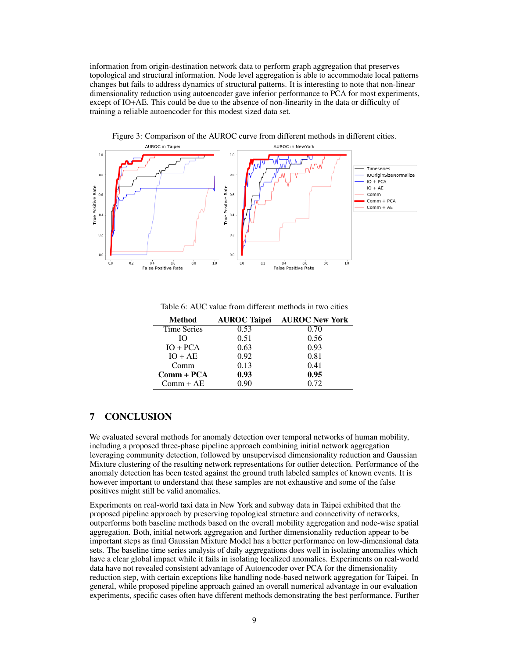information from origin-destination network data to perform graph aggregation that preserves topological and structural information. Node level aggregation is able to accommodate local patterns changes but fails to address dynamics of structural patterns. It is interesting to note that non-linear dimensionality reduction using autoencoder gave inferior performance to PCA for most experiments, except of IO+AE. This could be due to the absence of non-linearity in the data or difficulty of training a reliable autoencoder for this modest sized data set.

<span id="page-8-0"></span>

Figure 3: Comparison of the AUROC curve from different methods in different cities.

Table 6: AUC value from different methods in two cities

<span id="page-8-1"></span>

| <b>Method</b>      | <b>AUROC</b> Taipei | <b>AUROC New York</b> |
|--------------------|---------------------|-----------------------|
| <b>Time Series</b> | 0.53                | 0.70                  |
| Ю                  | 0.51                | 0.56                  |
| $IO + PCA$         | 0.63                | 0.93                  |
| $IO + AE$          | 0.92                | 0.81                  |
| Comm               | 0.13                | 0.41                  |
| $Comm + PCA$       | 0.93                | 0.95                  |
| $Comm + AE$        | 0.90                | 0.72                  |

# 7 CONCLUSION

We evaluated several methods for anomaly detection over temporal networks of human mobility, including a proposed three-phase pipeline approach combining initial network aggregation leveraging community detection, followed by unsupervised dimensionality reduction and Gaussian Mixture clustering of the resulting network representations for outlier detection. Performance of the anomaly detection has been tested against the ground truth labeled samples of known events. It is however important to understand that these samples are not exhaustive and some of the false positives might still be valid anomalies.

Experiments on real-world taxi data in New York and subway data in Taipei exhibited that the proposed pipeline approach by preserving topological structure and connectivity of networks, outperforms both baseline methods based on the overall mobility aggregation and node-wise spatial aggregation. Both, initial network aggregation and further dimensionality reduction appear to be important steps as final Gaussian Mixture Model has a better performance on low-dimensional data sets. The baseline time series analysis of daily aggregations does well in isolating anomalies which have a clear global impact while it fails in isolating localized anomalies. Experiments on real-world data have not revealed consistent advantage of Autoencoder over PCA for the dimensionality reduction step, with certain exceptions like handling node-based network aggregation for Taipei. In general, while proposed pipeline approach gained an overall numerical advantage in our evaluation experiments, specific cases often have different methods demonstrating the best performance. Further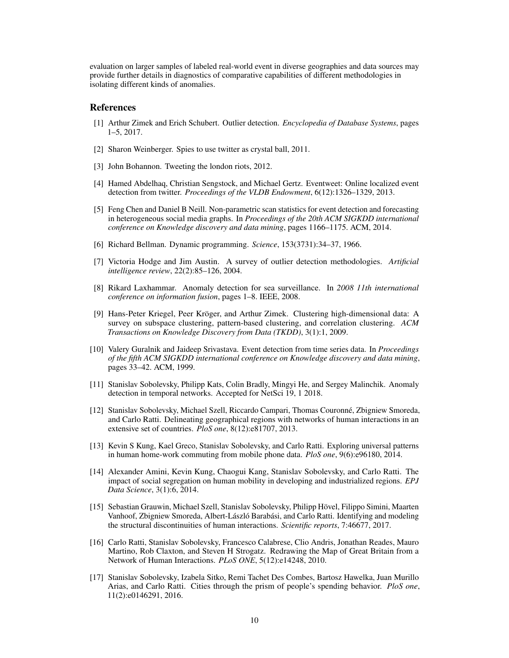evaluation on larger samples of labeled real-world event in diverse geographies and data sources may provide further details in diagnostics of comparative capabilities of different methodologies in isolating different kinds of anomalies.

## References

- <span id="page-9-0"></span>[1] Arthur Zimek and Erich Schubert. Outlier detection. *Encyclopedia of Database Systems*, pages 1–5, 2017.
- <span id="page-9-1"></span>[2] Sharon Weinberger. Spies to use twitter as crystal ball, 2011.
- <span id="page-9-3"></span>[3] John Bohannon. Tweeting the london riots, 2012.
- <span id="page-9-4"></span>[4] Hamed Abdelhaq, Christian Sengstock, and Michael Gertz. Eventweet: Online localized event detection from twitter. *Proceedings of the VLDB Endowment*, 6(12):1326–1329, 2013.
- <span id="page-9-2"></span>[5] Feng Chen and Daniel B Neill. Non-parametric scan statistics for event detection and forecasting in heterogeneous social media graphs. In *Proceedings of the 20th ACM SIGKDD international conference on Knowledge discovery and data mining*, pages 1166–1175. ACM, 2014.
- <span id="page-9-5"></span>[6] Richard Bellman. Dynamic programming. *Science*, 153(3731):34–37, 1966.
- <span id="page-9-6"></span>[7] Victoria Hodge and Jim Austin. A survey of outlier detection methodologies. *Artificial intelligence review*, 22(2):85–126, 2004.
- <span id="page-9-7"></span>[8] Rikard Laxhammar. Anomaly detection for sea surveillance. In *2008 11th international conference on information fusion*, pages 1–8. IEEE, 2008.
- <span id="page-9-8"></span>[9] Hans-Peter Kriegel, Peer Kröger, and Arthur Zimek. Clustering high-dimensional data: A survey on subspace clustering, pattern-based clustering, and correlation clustering. *ACM Transactions on Knowledge Discovery from Data (TKDD)*, 3(1):1, 2009.
- <span id="page-9-9"></span>[10] Valery Guralnik and Jaideep Srivastava. Event detection from time series data. In *Proceedings of the fifth ACM SIGKDD international conference on Knowledge discovery and data mining*, pages 33–42. ACM, 1999.
- <span id="page-9-10"></span>[11] Stanislav Sobolevsky, Philipp Kats, Colin Bradly, Mingyi He, and Sergey Malinchik. Anomaly detection in temporal networks. Accepted for NetSci 19, 1 2018.
- <span id="page-9-11"></span>[12] Stanislav Sobolevsky, Michael Szell, Riccardo Campari, Thomas Couronné, Zbigniew Smoreda, and Carlo Ratti. Delineating geographical regions with networks of human interactions in an extensive set of countries. *PloS one*, 8(12):e81707, 2013.
- [13] Kevin S Kung, Kael Greco, Stanislav Sobolevsky, and Carlo Ratti. Exploring universal patterns in human home-work commuting from mobile phone data. *PloS one*, 9(6):e96180, 2014.
- [14] Alexander Amini, Kevin Kung, Chaogui Kang, Stanislav Sobolevsky, and Carlo Ratti. The impact of social segregation on human mobility in developing and industrialized regions. *EPJ Data Science*, 3(1):6, 2014.
- <span id="page-9-12"></span>[15] Sebastian Grauwin, Michael Szell, Stanislav Sobolevsky, Philipp Hövel, Filippo Simini, Maarten Vanhoof, Zbigniew Smoreda, Albert-László Barabási, and Carlo Ratti. Identifying and modeling the structural discontinuities of human interactions. *Scientific reports*, 7:46677, 2017.
- <span id="page-9-13"></span>[16] Carlo Ratti, Stanislav Sobolevsky, Francesco Calabrese, Clio Andris, Jonathan Reades, Mauro Martino, Rob Claxton, and Steven H Strogatz. Redrawing the Map of Great Britain from a Network of Human Interactions. *PLoS ONE*, 5(12):e14248, 2010.
- <span id="page-9-14"></span>[17] Stanislav Sobolevsky, Izabela Sitko, Remi Tachet Des Combes, Bartosz Hawelka, Juan Murillo Arias, and Carlo Ratti. Cities through the prism of people's spending behavior. *PloS one*, 11(2):e0146291, 2016.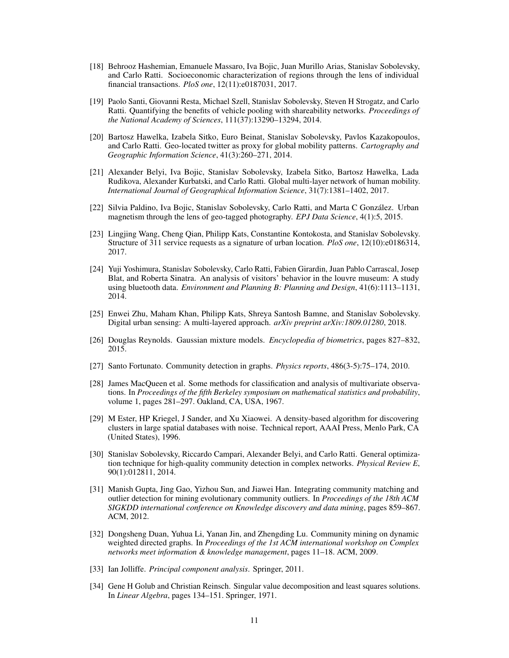- <span id="page-10-0"></span>[18] Behrooz Hashemian, Emanuele Massaro, Iva Bojic, Juan Murillo Arias, Stanislav Sobolevsky, and Carlo Ratti. Socioeconomic characterization of regions through the lens of individual financial transactions. *PloS one*, 12(11):e0187031, 2017.
- <span id="page-10-1"></span>[19] Paolo Santi, Giovanni Resta, Michael Szell, Stanislav Sobolevsky, Steven H Strogatz, and Carlo Ratti. Quantifying the benefits of vehicle pooling with shareability networks. *Proceedings of the National Academy of Sciences*, 111(37):13290–13294, 2014.
- <span id="page-10-2"></span>[20] Bartosz Hawelka, Izabela Sitko, Euro Beinat, Stanislav Sobolevsky, Pavlos Kazakopoulos, and Carlo Ratti. Geo-located twitter as proxy for global mobility patterns. *Cartography and Geographic Information Science*, 41(3):260–271, 2014.
- <span id="page-10-3"></span>[21] Alexander Belyi, Iva Bojic, Stanislav Sobolevsky, Izabela Sitko, Bartosz Hawelka, Lada Rudikova, Alexander Kurbatski, and Carlo Ratti. Global multi-layer network of human mobility. *International Journal of Geographical Information Science*, 31(7):1381–1402, 2017.
- <span id="page-10-4"></span>[22] Silvia Paldino, Iva Bojic, Stanislav Sobolevsky, Carlo Ratti, and Marta C González. Urban magnetism through the lens of geo-tagged photography. *EPJ Data Science*, 4(1):5, 2015.
- <span id="page-10-5"></span>[23] Lingjing Wang, Cheng Qian, Philipp Kats, Constantine Kontokosta, and Stanislav Sobolevsky. Structure of 311 service requests as a signature of urban location. *PloS one*, 12(10):e0186314, 2017.
- <span id="page-10-6"></span>[24] Yuji Yoshimura, Stanislav Sobolevsky, Carlo Ratti, Fabien Girardin, Juan Pablo Carrascal, Josep Blat, and Roberta Sinatra. An analysis of visitors' behavior in the louvre museum: A study using bluetooth data. *Environment and Planning B: Planning and Design*, 41(6):1113–1131, 2014.
- <span id="page-10-7"></span>[25] Enwei Zhu, Maham Khan, Philipp Kats, Shreya Santosh Bamne, and Stanislav Sobolevsky. Digital urban sensing: A multi-layered approach. *arXiv preprint arXiv:1809.01280*, 2018.
- <span id="page-10-8"></span>[26] Douglas Reynolds. Gaussian mixture models. *Encyclopedia of biometrics*, pages 827–832, 2015.
- <span id="page-10-9"></span>[27] Santo Fortunato. Community detection in graphs. *Physics reports*, 486(3-5):75–174, 2010.
- <span id="page-10-10"></span>[28] James MacQueen et al. Some methods for classification and analysis of multivariate observations. In *Proceedings of the fifth Berkeley symposium on mathematical statistics and probability*, volume 1, pages 281–297. Oakland, CA, USA, 1967.
- <span id="page-10-11"></span>[29] M Ester, HP Kriegel, J Sander, and Xu Xiaowei. A density-based algorithm for discovering clusters in large spatial databases with noise. Technical report, AAAI Press, Menlo Park, CA (United States), 1996.
- <span id="page-10-12"></span>[30] Stanislav Sobolevsky, Riccardo Campari, Alexander Belyi, and Carlo Ratti. General optimization technique for high-quality community detection in complex networks. *Physical Review E*, 90(1):012811, 2014.
- <span id="page-10-13"></span>[31] Manish Gupta, Jing Gao, Yizhou Sun, and Jiawei Han. Integrating community matching and outlier detection for mining evolutionary community outliers. In *Proceedings of the 18th ACM SIGKDD international conference on Knowledge discovery and data mining*, pages 859–867. ACM, 2012.
- <span id="page-10-14"></span>[32] Dongsheng Duan, Yuhua Li, Yanan Jin, and Zhengding Lu. Community mining on dynamic weighted directed graphs. In *Proceedings of the 1st ACM international workshop on Complex networks meet information & knowledge management*, pages 11–18. ACM, 2009.
- <span id="page-10-15"></span>[33] Ian Jolliffe. *Principal component analysis*. Springer, 2011.
- <span id="page-10-16"></span>[34] Gene H Golub and Christian Reinsch. Singular value decomposition and least squares solutions. In *Linear Algebra*, pages 134–151. Springer, 1971.